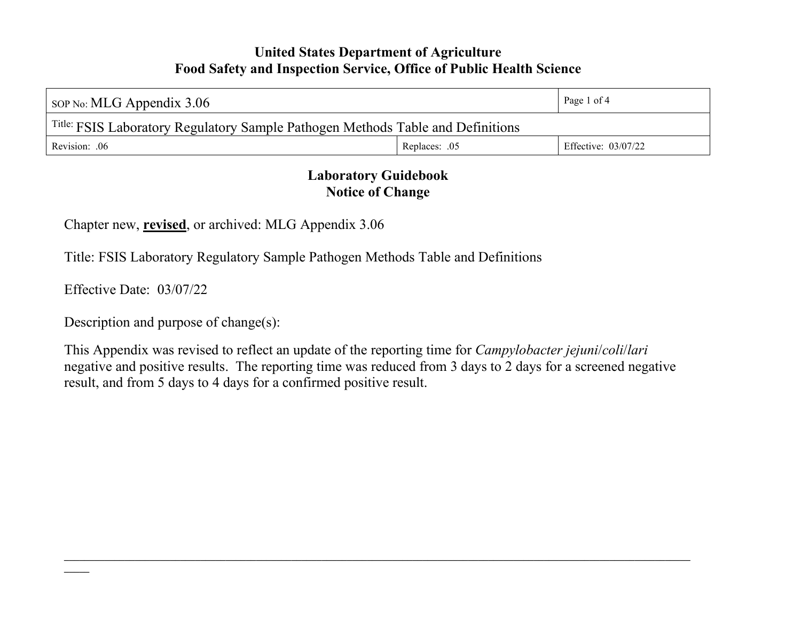| sop No: MLG Appendix $3.06$                                                     | Page 1 of 4   |                     |  |  |
|---------------------------------------------------------------------------------|---------------|---------------------|--|--|
| Title: FSIS Laboratory Regulatory Sample Pathogen Methods Table and Definitions |               |                     |  |  |
| Revision: .06                                                                   | Replaces: .05 | Effective: 03/07/22 |  |  |

# **Laboratory Guidebook Notice of Change**

Chapter new, **revised**, or archived: MLG Appendix 3.06

Title: FSIS Laboratory Regulatory Sample Pathogen Methods Table and Definitions

Effective Date: 03/07/22

Description and purpose of change(s):

This Appendix was revised to reflect an update of the reporting time for *Campylobacter jejuni*/*coli*/*lari* negative and positive results. The reporting time was reduced from 3 days to 2 days for a screened negative result, and from 5 days to 4 days for a confirmed positive result.

**\_\_\_\_\_\_\_\_\_\_\_\_\_\_\_\_\_\_\_\_\_\_\_\_\_\_\_\_\_\_\_\_\_\_\_\_\_\_\_\_\_\_\_\_\_\_\_\_\_\_\_\_\_\_\_\_\_\_\_\_\_\_\_\_\_\_\_\_\_\_\_\_\_\_\_\_\_\_\_\_\_\_\_\_\_\_\_\_\_\_\_\_\_\_\_\_\_\_\_\_\_\_\_\_\_\_\_\_\_\_\_\_\_\_\_\_\_\_\_\_\_\_\_\_**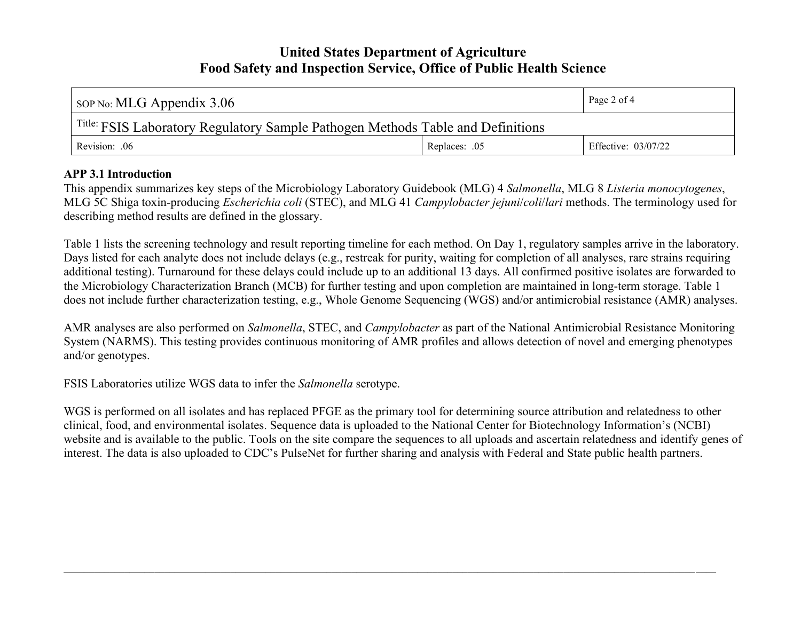| $\vert$ sop No: MLG Appendix 3.06                                               |               | Page 2 of 4         |  |  |
|---------------------------------------------------------------------------------|---------------|---------------------|--|--|
| Title: FSIS Laboratory Regulatory Sample Pathogen Methods Table and Definitions |               |                     |  |  |
| Revision: .06                                                                   | Replaces: .05 | Effective: 03/07/22 |  |  |

#### **APP 3.1 Introduction**

This appendix summarizes key steps of the Microbiology Laboratory Guidebook (MLG) 4 *Salmonella*, MLG 8 *Listeria monocytogenes*, MLG 5C Shiga toxin-producing *Escherichia coli* (STEC), and MLG 41 *Campylobacter jejuni*/*coli*/*lari* methods. The terminology used for describing method results are defined in the glossary.

Table 1 lists the screening technology and result reporting timeline for each method. On Day 1, regulatory samples arrive in the laboratory. Days listed for each analyte does not include delays (e.g., restreak for purity, waiting for completion of all analyses, rare strains requiring additional testing). Turnaround for these delays could include up to an additional 13 days. All confirmed positive isolates are forwarded to the Microbiology Characterization Branch (MCB) for further testing and upon completion are maintained in long-term storage. Table 1 does not include further characterization testing, e.g., Whole Genome Sequencing (WGS) and/or antimicrobial resistance (AMR) analyses.

AMR analyses are also performed on *Salmonella*, STEC, and *Campylobacter* as part of the National Antimicrobial Resistance Monitoring System (NARMS). This testing provides continuous monitoring of AMR profiles and allows detection of novel and emerging phenotypes and/or genotypes.

FSIS Laboratories utilize WGS data to infer the *Salmonella* serotype.

WGS is performed on all isolates and has replaced PFGE as the primary tool for determining source attribution and relatedness to other clinical, food, and environmental isolates. Sequence data is uploaded to the National Center for Biotechnology Information's (NCBI) website and is available to the public. Tools on the site compare the sequences to all uploads and ascertain relatedness and identify genes of interest. The data is also uploaded to CDC's PulseNet for further sharing and analysis with Federal and State public health partners.

 $\mathcal{L} = \{ \mathcal{L} \mathcal{L} \mathcal{L} \mathcal{L} \mathcal{L} \mathcal{L} \mathcal{L} \mathcal{L} \mathcal{L} \mathcal{L} \mathcal{L} \mathcal{L} \mathcal{L} \mathcal{L} \mathcal{L} \mathcal{L} \mathcal{L} \mathcal{L} \mathcal{L} \mathcal{L} \mathcal{L} \mathcal{L} \mathcal{L} \mathcal{L} \mathcal{L} \mathcal{L} \mathcal{L} \mathcal{L} \mathcal{L} \mathcal{L} \mathcal{L} \mathcal{L} \mathcal{L} \mathcal{L} \mathcal{L} \$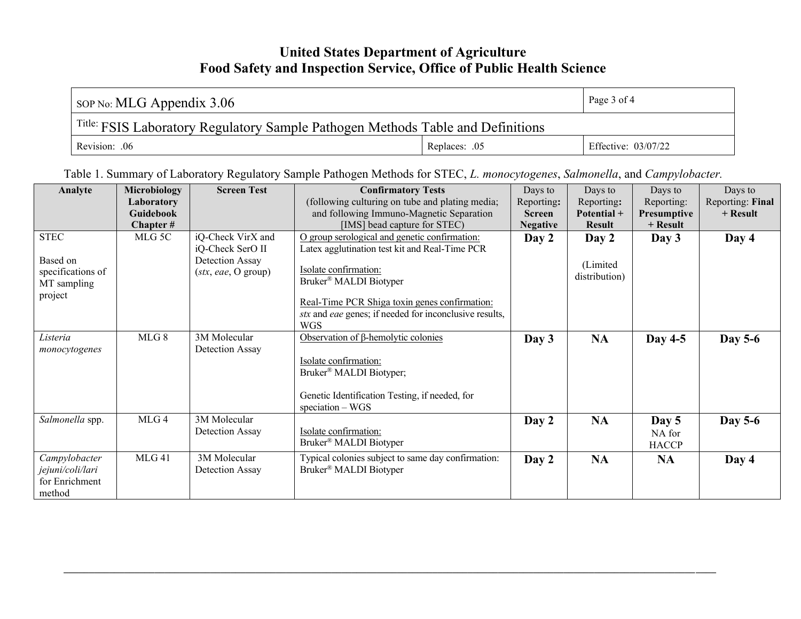| $\sim$ SOP No: MLG Appendix 3.06                                                           |               | Page $3$ of $4$     |  |  |
|--------------------------------------------------------------------------------------------|---------------|---------------------|--|--|
| <sup>Title:</sup> FSIS Laboratory Regulatory Sample Pathogen Methods Table and Definitions |               |                     |  |  |
| Revision: .06                                                                              | Replaces: .05 | Effective: 03/07/22 |  |  |

Table 1. Summary of Laboratory Regulatory Sample Pathogen Methods for STEC, *L. monocytogenes*, *Salmonella*, and *Campylobacter.*

| Analyte           | <b>Microbiology</b> | <b>Screen Test</b>  | <b>Confirmatory Tests</b>                              | Days to         | Days to       | Days to      | Days to          |
|-------------------|---------------------|---------------------|--------------------------------------------------------|-----------------|---------------|--------------|------------------|
|                   | Laboratory          |                     | (following culturing on tube and plating media;        | Reporting:      | Reporting:    | Reporting:   | Reporting: Final |
|                   | <b>Guidebook</b>    |                     | and following Immuno-Magnetic Separation               | <b>Screen</b>   | Potential +   | Presumptive  | $+$ Result       |
|                   | Chapter #           |                     | [IMS] bead capture for STEC)                           | <b>Negative</b> | <b>Result</b> | $+$ Result   |                  |
| <b>STEC</b>       | MLG 5C              | iQ-Check VirX and   | O group serological and genetic confirmation:          | Day 2           | Day 2         | Day $3$      | Day 4            |
|                   |                     | iQ-Check SerO II    | Latex agglutination test kit and Real-Time PCR         |                 |               |              |                  |
| Based on          |                     | Detection Assay     |                                                        |                 | (Limited)     |              |                  |
| specifications of |                     | (stx, eae, O group) | Isolate confirmation:                                  |                 |               |              |                  |
| MT sampling       |                     |                     | Bruker <sup>®</sup> MALDI Biotyper                     |                 | distribution) |              |                  |
| project           |                     |                     |                                                        |                 |               |              |                  |
|                   |                     |                     | Real-Time PCR Shiga toxin genes confirmation:          |                 |               |              |                  |
|                   |                     |                     | stx and eae genes; if needed for inconclusive results, |                 |               |              |                  |
|                   |                     |                     | <b>WGS</b>                                             |                 |               |              |                  |
| Listeria          | MLG 8               | 3M Molecular        | Observation of $\beta$ -hemolytic colonies             | Day 3           | <b>NA</b>     | Day $4-5$    | <b>Day 5-6</b>   |
| monocytogenes     |                     | Detection Assay     |                                                        |                 |               |              |                  |
|                   |                     |                     | Isolate confirmation:                                  |                 |               |              |                  |
|                   |                     |                     | Bruker <sup>®</sup> MALDI Biotyper;                    |                 |               |              |                  |
|                   |                     |                     |                                                        |                 |               |              |                  |
|                   |                     |                     | Genetic Identification Testing, if needed, for         |                 |               |              |                  |
|                   |                     |                     | $speciation - WGS$                                     |                 |               |              |                  |
| Salmonella spp.   | MLG4                | 3M Molecular        |                                                        | Day 2           | <b>NA</b>     | Day 5        | <b>Day 5-6</b>   |
|                   |                     | Detection Assay     | Isolate confirmation:                                  |                 |               | NA for       |                  |
|                   |                     |                     | Bruker <sup>®</sup> MALDI Biotyper                     |                 |               | <b>HACCP</b> |                  |
| Campylobacter     | MLG 41              | 3M Molecular        | Typical colonies subject to same day confirmation:     | Day 2           | <b>NA</b>     | <b>NA</b>    | Day 4            |
| jejuni/coli/lari  |                     | Detection Assay     | Bruker <sup>®</sup> MALDI Biotyper                     |                 |               |              |                  |
| for Enrichment    |                     |                     |                                                        |                 |               |              |                  |
| method            |                     |                     |                                                        |                 |               |              |                  |

 $\mathcal{L} = \{ \mathcal{L} \mathcal{L} \mathcal{L} \mathcal{L} \mathcal{L} \mathcal{L} \mathcal{L} \mathcal{L} \mathcal{L} \mathcal{L} \mathcal{L} \mathcal{L} \mathcal{L} \mathcal{L} \mathcal{L} \mathcal{L} \mathcal{L} \mathcal{L} \mathcal{L} \mathcal{L} \mathcal{L} \mathcal{L} \mathcal{L} \mathcal{L} \mathcal{L} \mathcal{L} \mathcal{L} \mathcal{L} \mathcal{L} \mathcal{L} \mathcal{L} \mathcal{L} \mathcal{L} \mathcal{L} \mathcal{L} \$